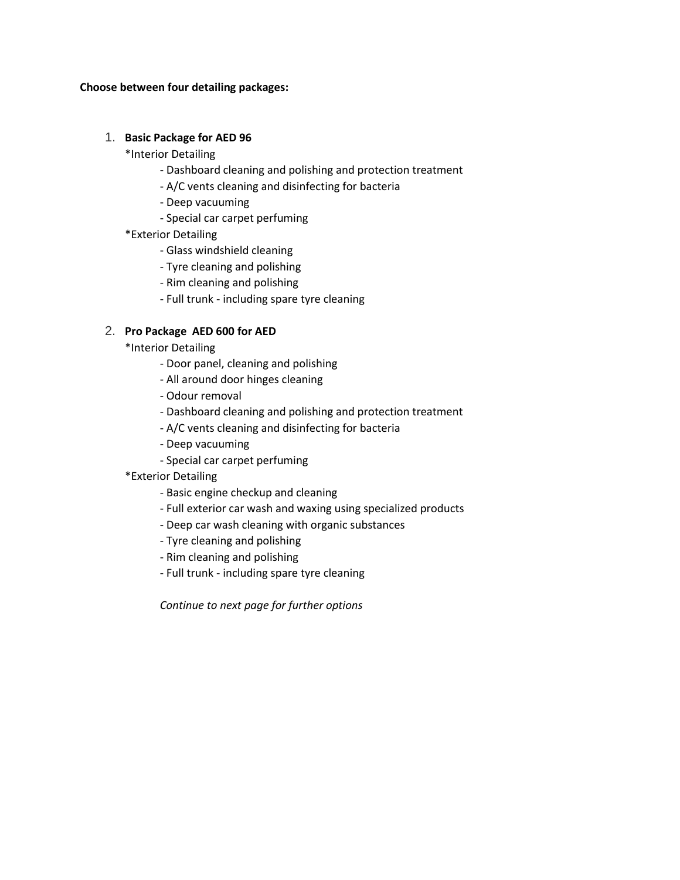#### **Choose between four detailing packages:**

### 1. **Basic Package for AED 96**

\*Interior Detailing

- Dashboard cleaning and polishing and protection treatment
- A/C vents cleaning and disinfecting for bacteria
- Deep vacuuming
- Special car carpet perfuming
- \*Exterior Detailing
	- Glass windshield cleaning
	- Tyre cleaning and polishing
	- Rim cleaning and polishing
	- Full trunk including spare tyre cleaning

# 2. **Pro Package AED 600 for AED**

\*Interior Detailing

- Door panel, cleaning and polishing
- All around door hinges cleaning
- Odour removal
- Dashboard cleaning and polishing and protection treatment
- A/C vents cleaning and disinfecting for bacteria
- Deep vacuuming
- Special car carpet perfuming
- \*Exterior Detailing
	- Basic engine checkup and cleaning
	- Full exterior car wash and waxing using specialized products
	- Deep car wash cleaning with organic substances
	- Tyre cleaning and polishing
	- Rim cleaning and polishing
	- Full trunk including spare tyre cleaning

*Continue to next page for further options*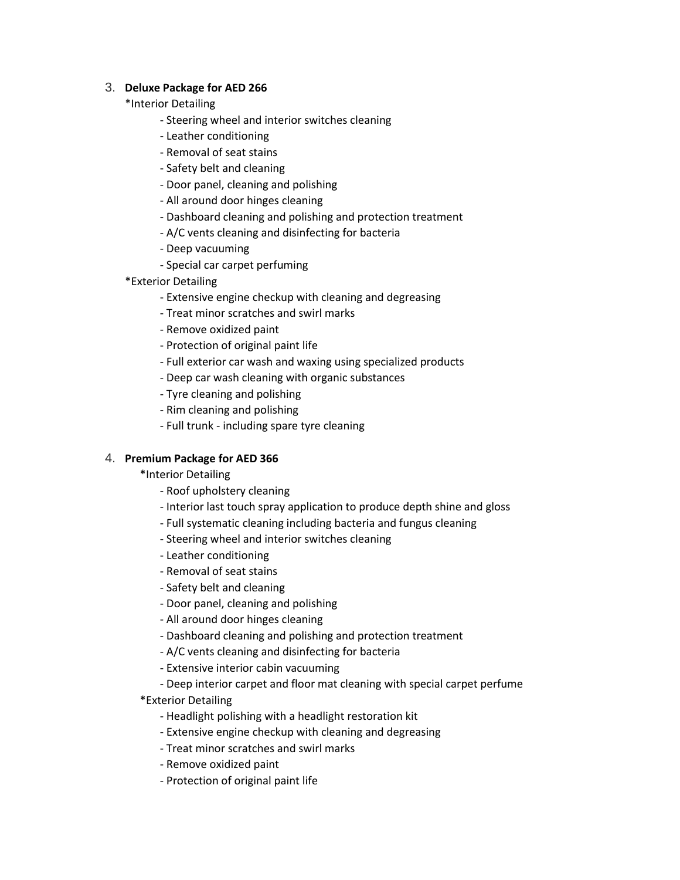## 3. **Deluxe Package for AED 266**

## \*Interior Detailing

- Steering wheel and interior switches cleaning
- Leather conditioning
- Removal of seat stains
- Safety belt and cleaning
- Door panel, cleaning and polishing
- All around door hinges cleaning
- Dashboard cleaning and polishing and protection treatment
- A/C vents cleaning and disinfecting for bacteria
- Deep vacuuming
- Special car carpet perfuming
- \*Exterior Detailing
	- Extensive engine checkup with cleaning and degreasing
	- Treat minor scratches and swirl marks
	- Remove oxidized paint
	- Protection of original paint life
	- Full exterior car wash and waxing using specialized products
	- Deep car wash cleaning with organic substances
	- Tyre cleaning and polishing
	- Rim cleaning and polishing
	- Full trunk including spare tyre cleaning

### 4. **Premium Package for AED 366**

\*Interior Detailing

- Roof upholstery cleaning
- Interior last touch spray application to produce depth shine and gloss
- Full systematic cleaning including bacteria and fungus cleaning
- Steering wheel and interior switches cleaning
- Leather conditioning
- Removal of seat stains
- Safety belt and cleaning
- Door panel, cleaning and polishing
- All around door hinges cleaning
- Dashboard cleaning and polishing and protection treatment
- A/C vents cleaning and disinfecting for bacteria
- Extensive interior cabin vacuuming
- Deep interior carpet and floor mat cleaning with special carpet perfume \*Exterior Detailing
	- Headlight polishing with a headlight restoration kit
	- Extensive engine checkup with cleaning and degreasing
	- Treat minor scratches and swirl marks
	- Remove oxidized paint
	- Protection of original paint life